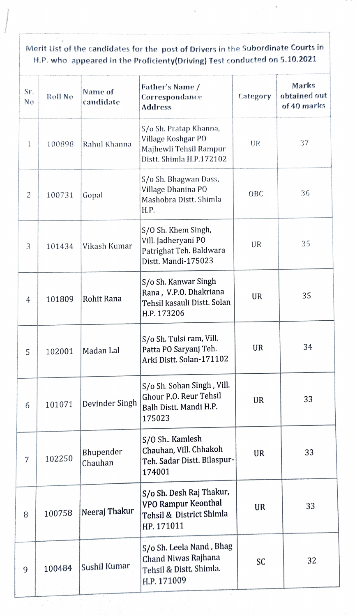Merit List of the candidates for the post of Drivers in the Subordinate Courts in H.P. who appeared in the Proficienty(Driving) Test conducted on 5.10.2021

| Sr.<br>No | Roll No | Name of<br>candidate | Father's Name /<br>Correspondance<br><b>Address</b>                                                | Category | Marks<br>obtained out<br>of 40 marks |
|-----------|---------|----------------------|----------------------------------------------------------------------------------------------------|----------|--------------------------------------|
| ľ         | 100898  | Rahul Khanna         | S/o Sh. Pratap Khanna,<br>Village Koshgar PO<br>Majhewli Tehsil Rampur<br>Distt. Shimla H.P.172102 | UR       | 37                                   |
| 2         | 100731  | Gopal                | S/o Sh. Bhagwan Dass,<br>Village Dhanina PO<br>Mashobra Distt. Shimla<br>H.P.                      | OBC      | 36                                   |
| 3         | 101434  | Vikash Kumar         | S/O Sh. Khem Singh,<br>Vill. Jadheryani PO<br>Patrighat Teh. Baldwara<br>Distt. Mandi-175023       | UR       | 35                                   |
| 4         | 101809  | Rohit Rana           | S/o Sh. Kanwar Singh<br>Rana, V.P.O. Dhakriana<br>Tehsil kasauli Distt. Solan<br>H.P. 173206       | UR       | 35                                   |
| 5         | 102001  | Madan Lal            | S/o Sh. Tulsi ram, Vill.<br>Patta PO Saryanj Teh.<br>Arki Distt. Solan-171102                      | UR       | 34                                   |
| 6         | 101071  | Devinder Singh       | S/o Sh. Sohan Singh, Vill.<br>Ghour P.O. Reur Tehsil<br>Balh Distt. Mandi H.P.<br>175023           | UR       | 33                                   |
| 7         | 102250  | Bhupender<br>Chauhan | S/O Sh Kamlesh<br>Chauhan, Vill. Chhakoh<br>Teh. Sadar Distt. Bilaspur-<br>174001                  | UR       | 33                                   |
| 8         | 100758  | Neeraj Thakur        | S/o Sh. Desh Raj Thakur,<br>VPO Rampur Keonthal<br>Tehsil & District Shimla<br>HP. 171011          | UR       | 33                                   |
| 9         | 100484  | Sushil Kumar         | S/o Sh. Leela Nand, Bhag<br>Chand Niwas Rajhana<br>Tehsil & Distt. Shimla.<br>H.P. 171009          | SC       | 32                                   |